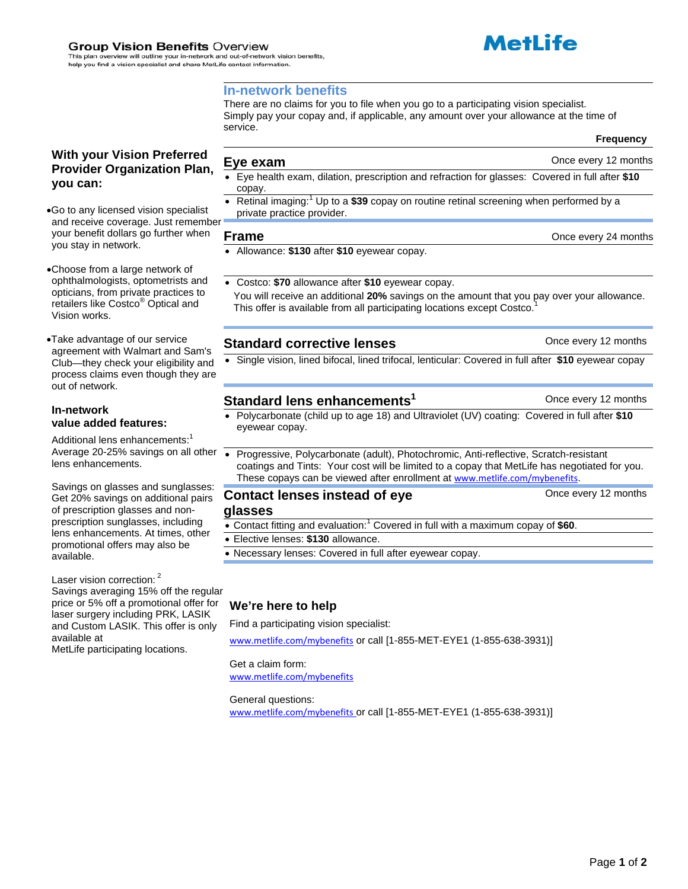This plan overview will outline your in-network and out-of-network vision benefits, help you find a vision specialist and share MetLife contact information.

# **In-network benefits**

There are no claims for you to file when you go to a participating vision specialist. Simply pay your copay and, if applicable, any amount over your allowance at the time of service.

# **With your Vision Preferred Provider Organization Plan, you can:**

- Go to any licensed vision specialist and receive coverage. Just remember your benefit dollars go further when you stay in network.
- Choose from a large network of ophthalmologists, optometrists and opticians, from private practices to retailers like Costco<sup>®</sup> Optical and Vision works.
- Take advantage of our service agreement with Walmart and Sam's Club—they check your eligibility and process claims even though they are out of network.

## **In-network value added features:**

Additional lens enhancements:<sup>1</sup> Average 20-25% savings on all other lens enhancements.

Savings on glasses and sunglasses: Get 20% savings on additional pairs of prescription glasses and nonprescription sunglasses, including lens enhancements. At times, other promotional offers may also be available.

Laser vision correction: 2

Savings averaging 15% off the regular price or 5% off a promotional offer for laser surgery including PRK, LASIK and Custom LASIK. This offer is only available at

MetLife participating locations.

- Eye health exam, dilation, prescription and refraction for glasses: Covered in full after **\$10** copay.
- Retinal imaging:<sup>1</sup> Up to a \$39 copay on routine retinal screening when performed by a private practice provider.

### **Frame Concernsive Example 24 months Concernsive Concernsive Concernsive Concernsive Concernsive Concernsive Concernsive Concernsive Concernsive Concernsive Concernsive Concernsive Concernsive Concernsive Concernsive C**

- Allowance: **\$130** after **\$10** eyewear copay.
- Costco: **\$70** allowance after **\$10** eyewear copay.

You will receive an additional **20%** savings on the amount that you pay over your allowance. This offer is available from all participating locations except Costco.

# **Standard corrective lenses Concerned Standard Concerned Standard Concerned Standard Concerned Standard Concerned Standard Concerned Standard Concerned Standard Concerned Standard Concerned Standard Concerned Standard Co**

Single vision, lined bifocal, lined trifocal, lenticular: Covered in full after **\$10** eyewear copay

# **Standard lens enhancements<sup>1</sup>** Once every 12 months

 Polycarbonate (child up to age 18) and Ultraviolet (UV) coating: Covered in full after **\$10** eyewear copay.

#### Progressive, Polycarbonate (adult), Photochromic, Anti-reflective, Scratch-resistant coatings and Tints: Your cost will be limited to a copay that MetLife has negotiated for you. These copays can be viewed after enrollment at www.metlife.com/mybenefits.

# **Contact lenses instead of eye glasses**

- Contact fitting and evaluation:<sup>1</sup> Covered in full with a maximum copay of \$60.
- Elective lenses: **\$130** allowance.
- Necessary lenses: Covered in full after eyewear copay.

# **We're here to help**

Find a participating vision specialist:

www.metlife.com/mybenefits or call [1-855-MET-EYE1 (1-855-638-3931)]

#### Get a claim form:

www.metlife.com/mybenefits

#### General questions:

www.metlife.com/mybenefits or call [1-855-MET-EYE1 (1-855-638-3931)]

- 
- 

Once every 12 months



**MetLife** 

**Frequency**

**Eve exam** Once every 12 months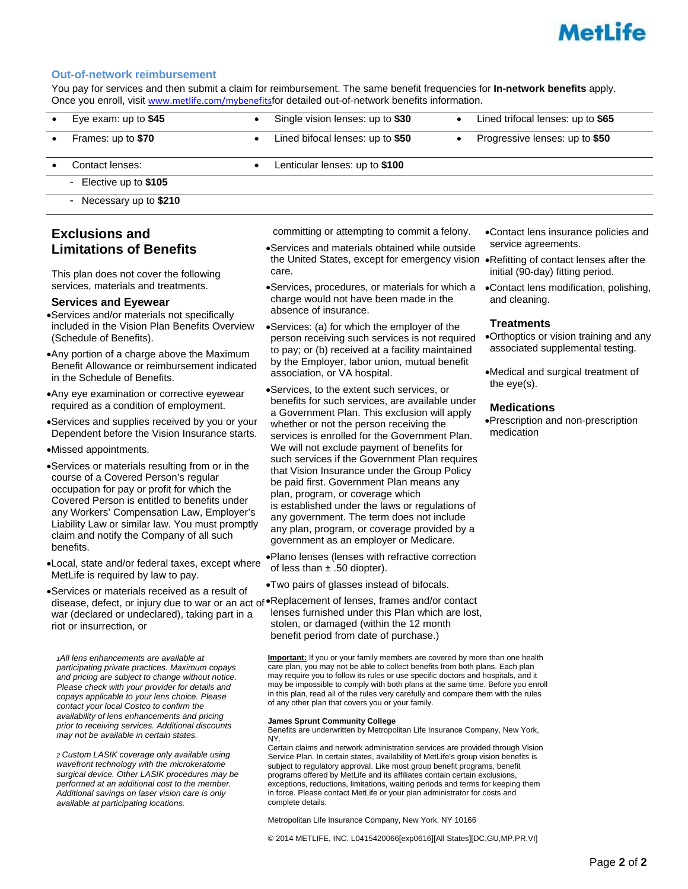

#### **Out-of-network reimbursement**

You pay for services and then submit a claim for reimbursement. The same benefit frequencies for **In-network benefits** apply. Once you enroll, visit www.metlife.com/mybenefitsfor detailed out-of-network benefits information.

care.

| Eye exam: up to $$45$  | Single vision lenses: up to \$30 | Lined trifocal lenses: up to \$65 |
|------------------------|----------------------------------|-----------------------------------|
| Frames: up to \$70     | Lined bifocal lenses: up to \$50 | Progressive lenses: up to \$50    |
| Contact lenses:        | Lenticular lenses: up to \$100   |                                   |
| - Elective up to \$105 |                                  |                                   |
| Necessary up to \$210  |                                  |                                   |

# **Exclusions and Limitations of Benefits**

This plan does not cover the following services, materials and treatments.

#### **Services and Eyewear**

- Services and/or materials not specifically included in the Vision Plan Benefits Overview (Schedule of Benefits).
- Any portion of a charge above the Maximum Benefit Allowance or reimbursement indicated in the Schedule of Benefits.
- Any eye examination or corrective eyewear required as a condition of employment.
- Services and supplies received by you or your Dependent before the Vision Insurance starts.
- Missed appointments.
- Services or materials resulting from or in the course of a Covered Person's regular occupation for pay or profit for which the Covered Person is entitled to benefits under any Workers' Compensation Law, Employer's Liability Law or similar law. You must promptly claim and notify the Company of all such benefits.
- Local, state and/or federal taxes, except where MetLife is required by law to pay.
- Services or materials received as a result of disease, defect, or injury due to war or an act of Replacement of lenses, frames and/or contact war (declared or undeclared), taking part in a riot or insurrection, or

*1All lens enhancements are available at participating private practices. Maximum copays and pricing are subject to change without notice. Please check with your provider for details and copays applicable to your lens choice. Please contact your local Costco to confirm the availability of lens enhancements and pricing prior to receiving services. Additional discounts may not be available in certain states.*

*2 Custom LASIK coverage only available using wavefront technology with the microkeratome surgical device. Other LASIK procedures may be performed at an additional cost to the member. Additional savings on laser vision care is only available at participating locations.*

committing or attempting to commit a felony.

- Services and materials obtained while outside the United States, except for emergency vision
- Services, procedures, or materials for which a charge would not have been made in the absence of insurance.
- Services: (a) for which the employer of the person receiving such services is not required to pay; or (b) received at a facility maintained by the Employer, labor union, mutual benefit association, or VA hospital.
- Services, to the extent such services, or benefits for such services, are available under a Government Plan. This exclusion will apply whether or not the person receiving the services is enrolled for the Government Plan. We will not exclude payment of benefits for such services if the Government Plan requires that Vision Insurance under the Group Policy be paid first. Government Plan means any plan, program, or coverage which is established under the laws or regulations of any government. The term does not include any plan, program, or coverage provided by a government as an employer or Medicare.
- Plano lenses (lenses with refractive correction of less than  $\pm$  .50 diopter).
- Two pairs of glasses instead of bifocals.
- lenses furnished under this Plan which are lost, stolen, or damaged (within the 12 month benefit period from date of purchase.)

**Important:** If you or your family members are covered by more than one health care plan, you may not be able to collect benefits from both plans. Each plan may require you to follow its rules or use specific doctors and hospitals, and it may be impossible to comply with both plans at the same time. Before you enroll in this plan, read all of the rules very carefully and compare them with the rules of any other plan that covers you or your family.

#### **James Sprunt Community College**

Benefits are underwritten by Metropolitan Life Insurance Company, New York, NY.

Certain claims and network administration services are provided through Vision Service Plan. In certain states, availability of MetLife's group vision benefits is subject to regulatory approval. Like most group benefit programs, benefit programs offered by MetLife and its affiliates contain certain exclusions, exceptions, reductions, limitations, waiting periods and terms for keeping them in force. Please contact MetLife or your plan administrator for costs and complete details.

Metropolitan Life Insurance Company, New York, NY 10166

© 2014 METLIFE, INC. L0415420066[exp0616][All States][DC,GU,MP,PR,VI]

Contact lens insurance policies and service agreements.

Refitting of contact lenses after the initial (90-day) fitting period.

Contact lens modification, polishing, and cleaning.

#### **Treatments**

Orthoptics or vision training and any associated supplemental testing.

Medical and surgical treatment of the eye(s).

#### **Medications**

Prescription and non-prescription medication